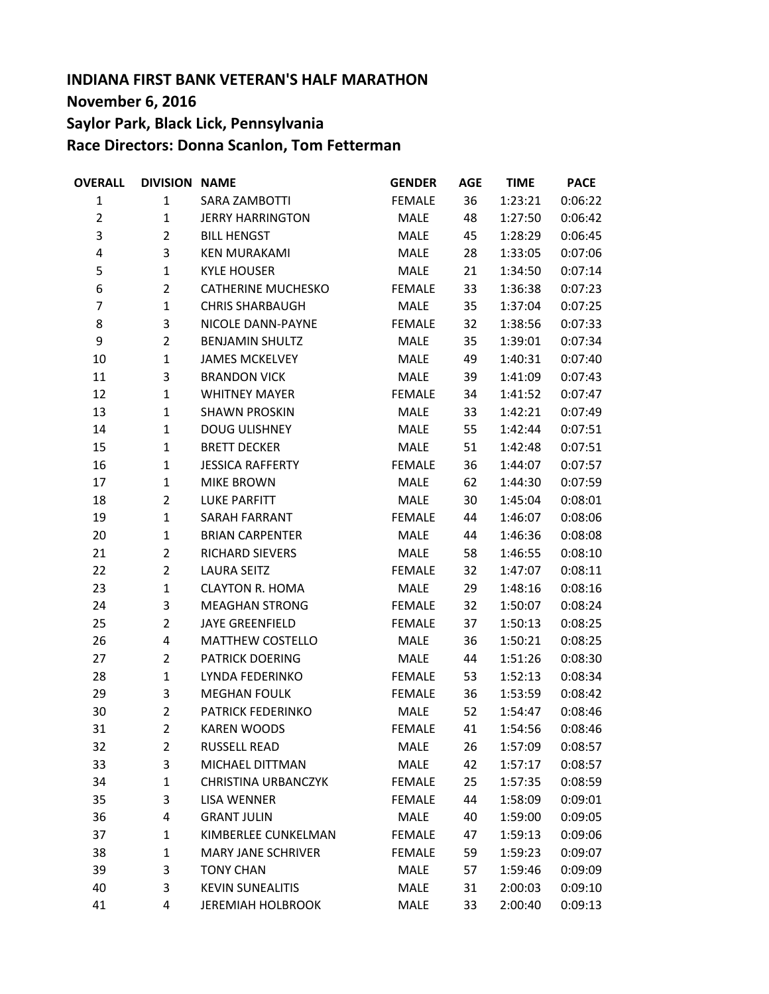## **INDIANA FIRST BANK VETERAN'S HALF MARATHON November 6, 2016 Saylor Park, Black Lick, Pennsylvania Race Directors: Donna Scanlon, Tom Fetterman**

| <b>OVERALL</b>          | <b>DIVISION NAME</b> |                            | <b>GENDER</b> | <b>AGE</b> | <b>TIME</b> | <b>PACE</b> |
|-------------------------|----------------------|----------------------------|---------------|------------|-------------|-------------|
| $\mathbf{1}$            | $\mathbf{1}$         | SARA ZAMBOTTI              | <b>FEMALE</b> | 36         | 1:23:21     | 0:06:22     |
| $\overline{2}$          | $\mathbf{1}$         | <b>JERRY HARRINGTON</b>    | MALE          | 48         | 1:27:50     | 0:06:42     |
| 3                       | $\overline{2}$       | <b>BILL HENGST</b>         | MALE          | 45         | 1:28:29     | 0:06:45     |
| $\overline{\mathbf{r}}$ | 3                    | <b>KEN MURAKAMI</b>        | MALE          | 28         | 1:33:05     | 0:07:06     |
| 5                       | $\mathbf{1}$         | <b>KYLE HOUSER</b>         | MALE          | 21         | 1:34:50     | 0:07:14     |
| 6                       | $\overline{2}$       | <b>CATHERINE MUCHESKO</b>  | <b>FEMALE</b> | 33         | 1:36:38     | 0:07:23     |
| 7                       | $\mathbf{1}$         | <b>CHRIS SHARBAUGH</b>     | MALE          | 35         | 1:37:04     | 0:07:25     |
| 8                       | 3                    | NICOLE DANN-PAYNE          | <b>FEMALE</b> | 32         | 1:38:56     | 0:07:33     |
| 9                       | $\overline{2}$       | <b>BENJAMIN SHULTZ</b>     | MALE          | 35         | 1:39:01     | 0:07:34     |
| 10                      | $\mathbf{1}$         | <b>JAMES MCKELVEY</b>      | MALE          | 49         | 1:40:31     | 0:07:40     |
| 11                      | 3                    | <b>BRANDON VICK</b>        | MALE          | 39         | 1:41:09     | 0:07:43     |
| 12                      | $\mathbf{1}$         | <b>WHITNEY MAYER</b>       | <b>FEMALE</b> | 34         | 1:41:52     | 0:07:47     |
| 13                      | $\mathbf{1}$         | <b>SHAWN PROSKIN</b>       | MALE          | 33         | 1:42:21     | 0:07:49     |
| 14                      | $\mathbf{1}$         | <b>DOUG ULISHNEY</b>       | MALE          | 55         | 1:42:44     | 0:07:51     |
| 15                      | $\mathbf{1}$         | <b>BRETT DECKER</b>        | MALE          | 51         | 1:42:48     | 0:07:51     |
| 16                      | $\mathbf{1}$         | <b>JESSICA RAFFERTY</b>    | <b>FEMALE</b> | 36         | 1:44:07     | 0:07:57     |
| 17                      | $\mathbf{1}$         | <b>MIKE BROWN</b>          | MALE          | 62         | 1:44:30     | 0:07:59     |
| 18                      | $\overline{2}$       | <b>LUKE PARFITT</b>        | MALE          | 30         | 1:45:04     | 0:08:01     |
| 19                      | $\mathbf{1}$         | <b>SARAH FARRANT</b>       | <b>FEMALE</b> | 44         | 1:46:07     | 0:08:06     |
| 20                      | $\mathbf{1}$         | <b>BRIAN CARPENTER</b>     | MALE          | 44         | 1:46:36     | 0:08:08     |
| 21                      | $\overline{2}$       | RICHARD SIEVERS            | MALE          | 58         | 1:46:55     | 0:08:10     |
| 22                      | $\overline{2}$       | <b>LAURA SEITZ</b>         | <b>FEMALE</b> | 32         | 1:47:07     | 0:08:11     |
| 23                      | $\mathbf{1}$         | <b>CLAYTON R. HOMA</b>     | MALE          | 29         | 1:48:16     | 0:08:16     |
| 24                      | 3                    | <b>MEAGHAN STRONG</b>      | <b>FEMALE</b> | 32         | 1:50:07     | 0:08:24     |
| 25                      | $\overline{2}$       | <b>JAYE GREENFIELD</b>     | <b>FEMALE</b> | 37         | 1:50:13     | 0:08:25     |
| 26                      | 4                    | <b>MATTHEW COSTELLO</b>    | <b>MALE</b>   | 36         | 1:50:21     | 0:08:25     |
| 27                      | $\overline{2}$       | <b>PATRICK DOERING</b>     | MALE          | 44         | 1:51:26     | 0:08:30     |
| 28                      | $\mathbf{1}$         | LYNDA FEDERINKO            | <b>FEMALE</b> | 53         | 1:52:13     | 0:08:34     |
| 29                      | 3                    | <b>MEGHAN FOULK</b>        | <b>FEMALE</b> | 36         | 1:53:59     | 0:08:42     |
| 30                      | $\overline{2}$       | PATRICK FEDERINKO          | MALE          | 52         | 1:54:47     | 0:08:46     |
| 31                      | 2                    | <b>KAREN WOODS</b>         | FEMALE        | 41         | 1:54:56     | 0:08:46     |
| 32                      | 2                    | RUSSELL READ               | MALE          | 26         | 1:57:09     | 0:08:57     |
| 33                      | 3                    | MICHAEL DITTMAN            | MALE          | 42         | 1:57:17     | 0:08:57     |
| 34                      | $\mathbf{1}$         | <b>CHRISTINA URBANCZYK</b> | FEMALE        | 25         | 1:57:35     | 0:08:59     |
| 35                      | 3                    | LISA WENNER                | <b>FEMALE</b> | 44         | 1:58:09     | 0:09:01     |
| 36                      | 4                    | <b>GRANT JULIN</b>         | MALE          | 40         | 1:59:00     | 0:09:05     |
| 37                      | 1                    | KIMBERLEE CUNKELMAN        | FEMALE        | 47         | 1:59:13     | 0:09:06     |
| 38                      | 1                    | <b>MARY JANE SCHRIVER</b>  | FEMALE        | 59         | 1:59:23     | 0:09:07     |
| 39                      | 3                    | <b>TONY CHAN</b>           | MALE          | 57         | 1:59:46     | 0:09:09     |
| 40                      | 3                    | <b>KEVIN SUNEALITIS</b>    | MALE          | 31         | 2:00:03     | 0:09:10     |
| 41                      | 4                    | <b>JEREMIAH HOLBROOK</b>   | MALE          | 33         | 2:00:40     | 0:09:13     |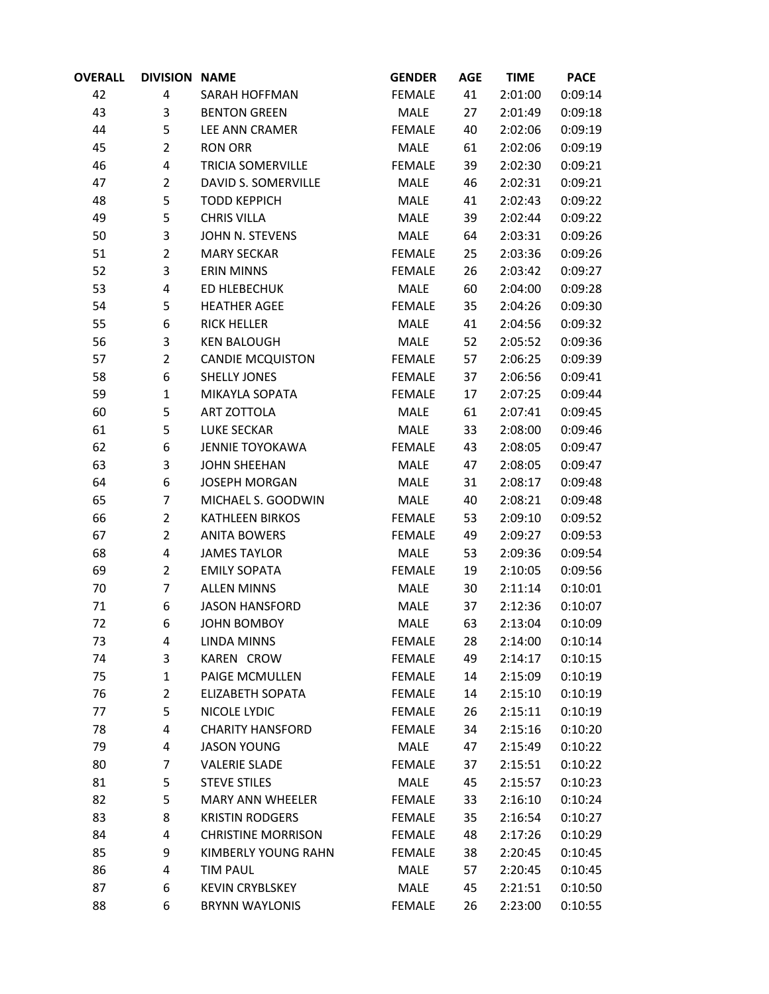| <b>OVERALL</b> | <b>DIVISION NAME</b> |                           | <b>GENDER</b> | <b>AGE</b> | <b>TIME</b> | <b>PACE</b> |
|----------------|----------------------|---------------------------|---------------|------------|-------------|-------------|
| 42             | 4                    | <b>SARAH HOFFMAN</b>      | <b>FEMALE</b> | 41         | 2:01:00     | 0:09:14     |
| 43             | 3                    | <b>BENTON GREEN</b>       | MALE          | 27         | 2:01:49     | 0:09:18     |
| 44             | 5                    | LEE ANN CRAMER            | <b>FEMALE</b> | 40         | 2:02:06     | 0:09:19     |
| 45             | $\overline{2}$       | <b>RON ORR</b>            | MALE          | 61         | 2:02:06     | 0:09:19     |
| 46             | 4                    | <b>TRICIA SOMERVILLE</b>  | <b>FEMALE</b> | 39         | 2:02:30     | 0:09:21     |
| 47             | $\overline{2}$       | DAVID S. SOMERVILLE       | MALE          | 46         | 2:02:31     | 0:09:21     |
| 48             | 5                    | <b>TODD KEPPICH</b>       | MALE          | 41         | 2:02:43     | 0:09:22     |
| 49             | 5                    | <b>CHRIS VILLA</b>        | MALE          | 39         | 2:02:44     | 0:09:22     |
| 50             | 3                    | JOHN N. STEVENS           | MALE          | 64         | 2:03:31     | 0:09:26     |
| 51             | $\overline{2}$       | <b>MARY SECKAR</b>        | <b>FEMALE</b> | 25         | 2:03:36     | 0:09:26     |
| 52             | 3                    | <b>ERIN MINNS</b>         | <b>FEMALE</b> | 26         | 2:03:42     | 0:09:27     |
| 53             | 4                    | ED HLEBECHUK              | MALE          | 60         | 2:04:00     | 0:09:28     |
| 54             | 5                    | <b>HEATHER AGEE</b>       | <b>FEMALE</b> | 35         | 2:04:26     | 0:09:30     |
| 55             | 6                    | <b>RICK HELLER</b>        | MALE          | 41         | 2:04:56     | 0:09:32     |
| 56             | 3                    | <b>KEN BALOUGH</b>        | MALE          | 52         | 2:05:52     | 0:09:36     |
| 57             | $\overline{2}$       | <b>CANDIE MCQUISTON</b>   | <b>FEMALE</b> | 57         | 2:06:25     | 0:09:39     |
| 58             | 6                    | <b>SHELLY JONES</b>       | <b>FEMALE</b> | 37         | 2:06:56     | 0:09:41     |
| 59             | $\mathbf 1$          | MIKAYLA SOPATA            | <b>FEMALE</b> | 17         | 2:07:25     | 0:09:44     |
| 60             | 5                    | ART ZOTTOLA               | <b>MALE</b>   | 61         | 2:07:41     | 0:09:45     |
| 61             | 5                    | <b>LUKE SECKAR</b>        | MALE          | 33         | 2:08:00     | 0:09:46     |
| 62             | 6                    | <b>JENNIE TOYOKAWA</b>    | <b>FEMALE</b> | 43         | 2:08:05     | 0:09:47     |
| 63             | 3                    | <b>JOHN SHEEHAN</b>       | MALE          | 47         | 2:08:05     | 0:09:47     |
| 64             | 6                    | <b>JOSEPH MORGAN</b>      | MALE          | 31         | 2:08:17     | 0:09:48     |
| 65             | 7                    | MICHAEL S. GOODWIN        | MALE          | 40         | 2:08:21     | 0:09:48     |
| 66             | $\overline{2}$       | <b>KATHLEEN BIRKOS</b>    | <b>FEMALE</b> | 53         | 2:09:10     | 0:09:52     |
| 67             | $\overline{2}$       | <b>ANITA BOWERS</b>       | <b>FEMALE</b> | 49         | 2:09:27     | 0:09:53     |
| 68             | 4                    | <b>JAMES TAYLOR</b>       | MALE          | 53         | 2:09:36     | 0:09:54     |
| 69             | $\overline{2}$       | <b>EMILY SOPATA</b>       | <b>FEMALE</b> | 19         | 2:10:05     | 0:09:56     |
| 70             | 7                    | <b>ALLEN MINNS</b>        | MALE          | 30         | 2:11:14     | 0:10:01     |
| 71             | 6                    | <b>JASON HANSFORD</b>     | MALE          | 37         | 2:12:36     | 0:10:07     |
| 72             | 6                    | <b>JOHN BOMBOY</b>        | MALE          | 63         | 2:13:04     | 0:10:09     |
| 73             | 4                    | <b>LINDA MINNS</b>        | <b>FEMALE</b> | 28         | 2:14:00     | 0:10:14     |
| 74             | 3                    | KAREN CROW                | <b>FEMALE</b> | 49         | 2:14:17     | 0:10:15     |
| 75             | $\mathbf{1}$         | PAIGE MCMULLEN            | <b>FEMALE</b> | 14         | 2:15:09     | 0:10:19     |
| 76             | $\overline{2}$       | <b>ELIZABETH SOPATA</b>   | <b>FEMALE</b> | 14         | 2:15:10     | 0:10:19     |
| 77             | 5                    | NICOLE LYDIC              | <b>FEMALE</b> | 26         | 2:15:11     | 0:10:19     |
| 78             | 4                    | <b>CHARITY HANSFORD</b>   | <b>FEMALE</b> | 34         | 2:15:16     | 0:10:20     |
| 79             | 4                    | <b>JASON YOUNG</b>        | MALE          | 47         | 2:15:49     | 0:10:22     |
| 80             | 7                    | <b>VALERIE SLADE</b>      | <b>FEMALE</b> | 37         | 2:15:51     | 0:10:22     |
| 81             | 5                    | <b>STEVE STILES</b>       | MALE          | 45         | 2:15:57     | 0:10:23     |
| 82             | 5                    | MARY ANN WHEELER          | <b>FEMALE</b> | 33         | 2:16:10     | 0:10:24     |
| 83             | 8                    | <b>KRISTIN RODGERS</b>    | <b>FEMALE</b> | 35         | 2:16:54     | 0:10:27     |
| 84             | 4                    | <b>CHRISTINE MORRISON</b> | <b>FEMALE</b> | 48         | 2:17:26     | 0:10:29     |
| 85             | 9                    | KIMBERLY YOUNG RAHN       | <b>FEMALE</b> | 38         | 2:20:45     | 0:10:45     |
| 86             | 4                    | <b>TIM PAUL</b>           | MALE          | 57         | 2:20:45     | 0:10:45     |
| 87             | 6                    | <b>KEVIN CRYBLSKEY</b>    | MALE          | 45         | 2:21:51     | 0:10:50     |
| 88             | 6                    | <b>BRYNN WAYLONIS</b>     | <b>FEMALE</b> | 26         | 2:23:00     | 0:10:55     |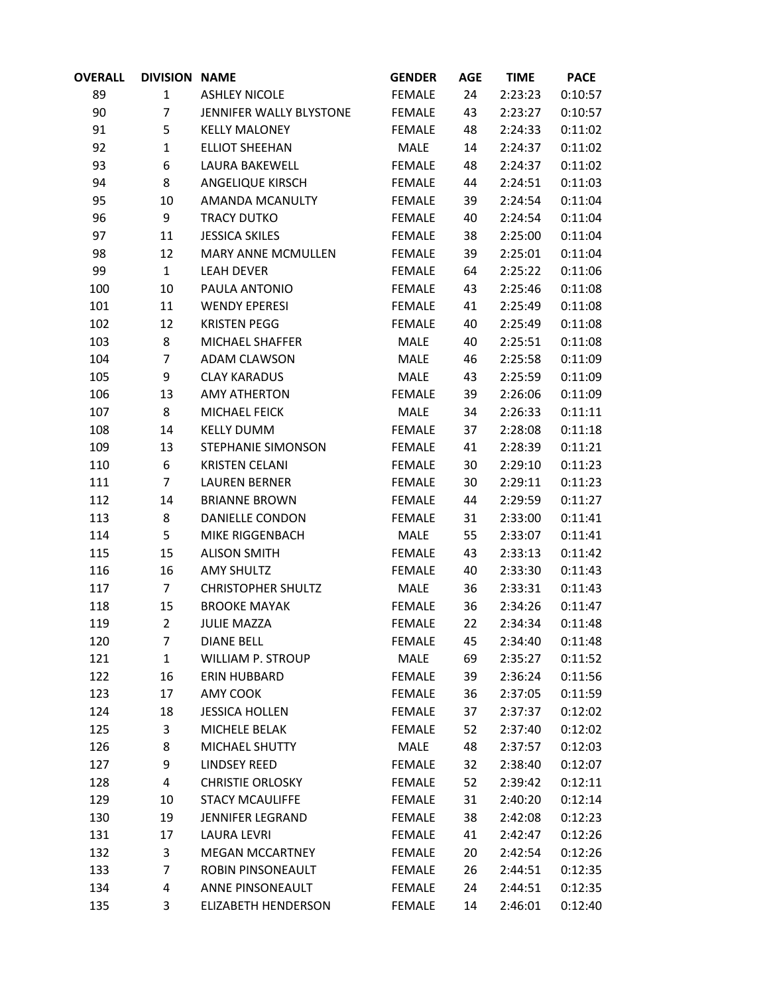| OVERALL | <b>DIVISION NAME</b> |                            | <b>GENDER</b> | <b>AGE</b> | <b>TIME</b> | <b>PACE</b> |
|---------|----------------------|----------------------------|---------------|------------|-------------|-------------|
| 89      | $\mathbf{1}$         | <b>ASHLEY NICOLE</b>       | <b>FEMALE</b> | 24         | 2:23:23     | 0:10:57     |
| 90      | $\overline{7}$       | JENNIFER WALLY BLYSTONE    | <b>FEMALE</b> | 43         | 2:23:27     | 0:10:57     |
| 91      | 5                    | <b>KELLY MALONEY</b>       | <b>FEMALE</b> | 48         | 2:24:33     | 0:11:02     |
| 92      | $\mathbf{1}$         | <b>ELLIOT SHEEHAN</b>      | MALE          | 14         | 2:24:37     | 0:11:02     |
| 93      | 6                    | LAURA BAKEWELL             | <b>FEMALE</b> | 48         | 2:24:37     | 0:11:02     |
| 94      | 8                    | ANGELIQUE KIRSCH           | <b>FEMALE</b> | 44         | 2:24:51     | 0:11:03     |
| 95      | 10                   | AMANDA MCANULTY            | <b>FEMALE</b> | 39         | 2:24:54     | 0:11:04     |
| 96      | 9                    | <b>TRACY DUTKO</b>         | <b>FEMALE</b> | 40         | 2:24:54     | 0:11:04     |
| 97      | 11                   | <b>JESSICA SKILES</b>      | <b>FEMALE</b> | 38         | 2:25:00     | 0:11:04     |
| 98      | 12                   | MARY ANNE MCMULLEN         | <b>FEMALE</b> | 39         | 2:25:01     | 0:11:04     |
| 99      | $\mathbf{1}$         | <b>LEAH DEVER</b>          | <b>FEMALE</b> | 64         | 2:25:22     | 0:11:06     |
| 100     | 10                   | PAULA ANTONIO              | <b>FEMALE</b> | 43         | 2:25:46     | 0:11:08     |
| 101     | 11                   | <b>WENDY EPERESI</b>       | <b>FEMALE</b> | 41         | 2:25:49     | 0:11:08     |
| 102     | 12                   | <b>KRISTEN PEGG</b>        | <b>FEMALE</b> | 40         | 2:25:49     | 0:11:08     |
| 103     | 8                    | MICHAEL SHAFFER            | MALE          | 40         | 2:25:51     | 0:11:08     |
| 104     | $\overline{7}$       | <b>ADAM CLAWSON</b>        | MALE          | 46         | 2:25:58     | 0:11:09     |
| 105     | 9                    | <b>CLAY KARADUS</b>        | <b>MALE</b>   | 43         | 2:25:59     | 0:11:09     |
| 106     | 13                   | <b>AMY ATHERTON</b>        | <b>FEMALE</b> | 39         | 2:26:06     | 0:11:09     |
| 107     | 8                    | MICHAEL FEICK              | MALE          | 34         | 2:26:33     | 0:11:11     |
| 108     | 14                   | <b>KELLY DUMM</b>          | <b>FEMALE</b> | 37         | 2:28:08     | 0:11:18     |
| 109     | 13                   | STEPHANIE SIMONSON         | <b>FEMALE</b> | 41         | 2:28:39     | 0:11:21     |
| 110     | 6                    | <b>KRISTEN CELANI</b>      | <b>FEMALE</b> | 30         | 2:29:10     | 0:11:23     |
| 111     | $\overline{7}$       | <b>LAUREN BERNER</b>       | <b>FEMALE</b> | 30         | 2:29:11     | 0:11:23     |
| 112     | 14                   | <b>BRIANNE BROWN</b>       | <b>FEMALE</b> | 44         | 2:29:59     | 0:11:27     |
| 113     | 8                    | DANIELLE CONDON            | <b>FEMALE</b> | 31         | 2:33:00     | 0:11:41     |
| 114     | 5                    | MIKE RIGGENBACH            | MALE          | 55         | 2:33:07     | 0:11:41     |
| 115     | 15                   | <b>ALISON SMITH</b>        | <b>FEMALE</b> | 43         | 2:33:13     | 0:11:42     |
| 116     | 16                   | <b>AMY SHULTZ</b>          | <b>FEMALE</b> | 40         | 2:33:30     | 0:11:43     |
| 117     | $\overline{7}$       | <b>CHRISTOPHER SHULTZ</b>  | MALE          | 36         | 2:33:31     | 0:11:43     |
| 118     | 15                   | <b>BROOKE MAYAK</b>        | <b>FEMALE</b> | 36         | 2:34:26     | 0:11:47     |
| 119     | $\overline{2}$       | <b>JULIE MAZZA</b>         | <b>FEMALE</b> | 22         | 2:34:34     | 0:11:48     |
| 120     | 7                    | <b>DIANE BELL</b>          | <b>FEMALE</b> | 45         | 2:34:40     | 0:11:48     |
| 121     | $\mathbf{1}$         | WILLIAM P. STROUP          | MALE          | 69         | 2:35:27     | 0:11:52     |
| 122     | 16                   | ERIN HUBBARD               | <b>FEMALE</b> | 39         | 2:36:24     | 0:11:56     |
| 123     | 17                   | AMY COOK                   | <b>FEMALE</b> | 36         | 2:37:05     | 0:11:59     |
| 124     | 18                   | <b>JESSICA HOLLEN</b>      | <b>FEMALE</b> | 37         | 2:37:37     | 0:12:02     |
| 125     | 3                    | MICHELE BELAK              | <b>FEMALE</b> | 52         | 2:37:40     | 0:12:02     |
| 126     | 8                    | MICHAEL SHUTTY             | MALE          | 48         | 2:37:57     | 0:12:03     |
| 127     | 9                    | <b>LINDSEY REED</b>        | <b>FEMALE</b> | 32         | 2:38:40     | 0:12:07     |
| 128     | $\overline{4}$       | <b>CHRISTIE ORLOSKY</b>    | <b>FEMALE</b> | 52         | 2:39:42     | 0:12:11     |
| 129     | 10                   | <b>STACY MCAULIFFE</b>     | <b>FEMALE</b> | 31         | 2:40:20     | 0:12:14     |
| 130     | 19                   | <b>JENNIFER LEGRAND</b>    | <b>FEMALE</b> | 38         | 2:42:08     | 0:12:23     |
| 131     | 17                   | <b>LAURA LEVRI</b>         | <b>FEMALE</b> | 41         | 2:42:47     | 0:12:26     |
| 132     | 3                    | <b>MEGAN MCCARTNEY</b>     | <b>FEMALE</b> | 20         | 2:42:54     | 0:12:26     |
| 133     | 7                    | ROBIN PINSONEAULT          | <b>FEMALE</b> | 26         | 2:44:51     | 0:12:35     |
| 134     | 4                    | ANNE PINSONEAULT           | <b>FEMALE</b> | 24         | 2:44:51     | 0:12:35     |
| 135     | 3                    | <b>ELIZABETH HENDERSON</b> | <b>FEMALE</b> | 14         | 2:46:01     | 0:12:40     |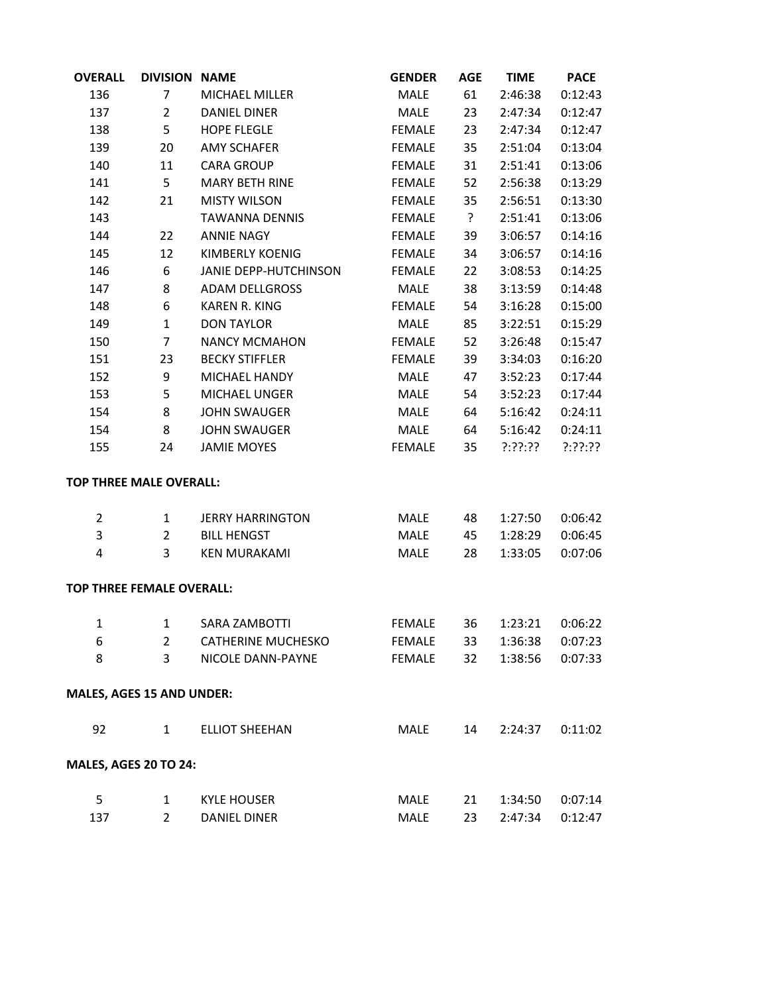| <b>OVERALL</b> | <b>DIVISION NAME</b>             |                              | <b>GENDER</b> | <b>AGE</b> | <b>TIME</b> | <b>PACE</b> |
|----------------|----------------------------------|------------------------------|---------------|------------|-------------|-------------|
| 136            | 7                                | <b>MICHAEL MILLER</b>        | MALE          | 61         | 2:46:38     | 0:12:43     |
| 137            | $\overline{2}$                   | <b>DANIEL DINER</b>          | <b>MALE</b>   | 23         | 2:47:34     | 0:12:47     |
| 138            | 5                                | <b>HOPE FLEGLE</b>           | <b>FEMALE</b> | 23         | 2:47:34     | 0:12:47     |
| 139            | 20                               | <b>AMY SCHAFER</b>           | <b>FEMALE</b> | 35         | 2:51:04     | 0:13:04     |
| 140            | 11                               | <b>CARA GROUP</b>            | <b>FEMALE</b> | 31         | 2:51:41     | 0:13:06     |
| 141            | 5                                | <b>MARY BETH RINE</b>        | <b>FEMALE</b> | 52         | 2:56:38     | 0:13:29     |
| 142            | 21                               | <b>MISTY WILSON</b>          | <b>FEMALE</b> | 35         | 2:56:51     | 0:13:30     |
| 143            |                                  | <b>TAWANNA DENNIS</b>        | <b>FEMALE</b> | $\ddot{?}$ | 2:51:41     | 0:13:06     |
| 144            | 22                               | <b>ANNIE NAGY</b>            | <b>FEMALE</b> | 39         | 3:06:57     | 0:14:16     |
| 145            | 12                               | <b>KIMBERLY KOENIG</b>       | <b>FEMALE</b> | 34         | 3:06:57     | 0:14:16     |
| 146            | 6                                | <b>JANIE DEPP-HUTCHINSON</b> | <b>FEMALE</b> | 22         | 3:08:53     | 0:14:25     |
| 147            | 8                                | <b>ADAM DELLGROSS</b>        | MALE          | 38         | 3:13:59     | 0:14:48     |
| 148            | 6                                | <b>KAREN R. KING</b>         | <b>FEMALE</b> | 54         | 3:16:28     | 0:15:00     |
| 149            | $\mathbf{1}$                     | <b>DON TAYLOR</b>            | <b>MALE</b>   | 85         | 3:22:51     | 0:15:29     |
| 150            | 7                                | <b>NANCY MCMAHON</b>         | <b>FEMALE</b> | 52         | 3:26:48     | 0:15:47     |
| 151            | 23                               | <b>BECKY STIFFLER</b>        | <b>FEMALE</b> | 39         | 3:34:03     | 0:16:20     |
| 152            | 9                                | <b>MICHAEL HANDY</b>         | MALE          | 47         | 3:52:23     | 0:17:44     |
| 153            | 5                                | <b>MICHAEL UNGER</b>         | MALE          | 54         | 3:52:23     | 0:17:44     |
| 154            | 8                                | <b>JOHN SWAUGER</b>          | MALE          | 64         | 5:16:42     | 0:24:11     |
| 154            | 8                                | <b>JOHN SWAUGER</b>          | MALE          | 64         | 5:16:42     | 0:24:11     |
| 155            | 24                               | <b>JAMIE MOYES</b>           | <b>FEMALE</b> | 35         | ?:??:??     | ?:??:??     |
|                | <b>TOP THREE MALE OVERALL:</b>   |                              |               |            |             |             |
| 2              | 1                                | <b>JERRY HARRINGTON</b>      | MALE          | 48         | 1:27:50     | 0:06:42     |
| 3              | $\overline{2}$                   | <b>BILL HENGST</b>           | MALE          | 45         | 1:28:29     | 0:06:45     |
| 4              | 3                                | <b>KEN MURAKAMI</b>          | MALE          | 28         | 1:33:05     | 0:07:06     |
|                | <b>TOP THREE FEMALE OVERALL:</b> |                              |               |            |             |             |
| $\mathbf{1}$   | 1                                | <b>SARA ZAMBOTTI</b>         | <b>FEMALE</b> | 36         | 1:23:21     | 0:06:22     |
| 6              | $\overline{2}$                   | <b>CATHERINE MUCHESKO</b>    | <b>FEMALE</b> | 33         | 1:36:38     | 0:07:23     |
| 8              | 3                                | NICOLE DANN-PAYNE            | <b>FEMALE</b> | 32         | 1:38:56     | 0:07:33     |
|                | <b>MALES, AGES 15 AND UNDER:</b> |                              |               |            |             |             |
| 92             | $\mathbf{1}$                     | <b>ELLIOT SHEEHAN</b>        | <b>MALE</b>   | 14         | 2:24:37     | 0:11:02     |
|                | <b>MALES, AGES 20 TO 24:</b>     |                              |               |            |             |             |
| 5              | 1                                | <b>KYLE HOUSER</b>           | MALE          | 21         | 1:34:50     | 0:07:14     |
| 137            | $\overline{2}$                   | <b>DANIEL DINER</b>          | <b>MALE</b>   | 23         | 2:47:34     | 0:12:47     |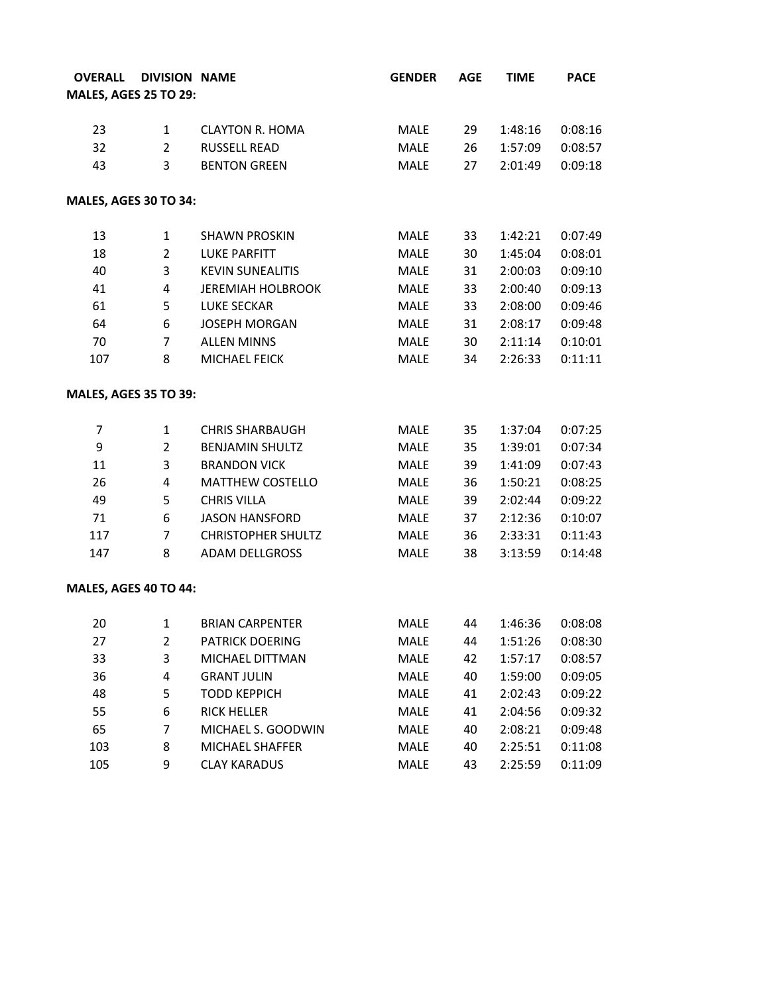|                |                           | <b>GENDER</b>                                                                                                                          | <b>AGE</b> | <b>TIME</b> | <b>PACE</b> |
|----------------|---------------------------|----------------------------------------------------------------------------------------------------------------------------------------|------------|-------------|-------------|
|                |                           |                                                                                                                                        |            |             |             |
|                |                           |                                                                                                                                        |            |             |             |
| $\mathbf{1}$   | <b>CLAYTON R. HOMA</b>    | <b>MALE</b>                                                                                                                            | 29         | 1:48:16     | 0:08:16     |
| $\overline{2}$ | <b>RUSSELL READ</b>       | <b>MALE</b>                                                                                                                            | 26         | 1:57:09     | 0:08:57     |
| 3              | <b>BENTON GREEN</b>       | <b>MALE</b>                                                                                                                            | 27         | 2:01:49     | 0:09:18     |
|                |                           |                                                                                                                                        |            |             |             |
| 1              | <b>SHAWN PROSKIN</b>      | MALE                                                                                                                                   | 33         | 1:42:21     | 0:07:49     |
| $\overline{2}$ | <b>LUKE PARFITT</b>       | <b>MALE</b>                                                                                                                            | 30         | 1:45:04     | 0:08:01     |
| 3              | <b>KEVIN SUNEALITIS</b>   | MALE                                                                                                                                   | 31         | 2:00:03     | 0:09:10     |
| $\overline{4}$ | <b>JEREMIAH HOLBROOK</b>  | <b>MALE</b>                                                                                                                            | 33         | 2:00:40     | 0:09:13     |
| 5              | <b>LUKE SECKAR</b>        | <b>MALE</b>                                                                                                                            | 33         | 2:08:00     | 0:09:46     |
| 6              | <b>JOSEPH MORGAN</b>      | MALE                                                                                                                                   | 31         | 2:08:17     | 0:09:48     |
| 7              | <b>ALLEN MINNS</b>        | <b>MALE</b>                                                                                                                            | 30         | 2:11:14     | 0:10:01     |
| 8              | MICHAEL FEICK             | <b>MALE</b>                                                                                                                            | 34         | 2:26:33     | 0:11:11     |
|                |                           |                                                                                                                                        |            |             |             |
| $\mathbf{1}$   | <b>CHRIS SHARBAUGH</b>    | <b>MALE</b>                                                                                                                            | 35         | 1:37:04     | 0:07:25     |
| $\overline{2}$ | <b>BENJAMIN SHULTZ</b>    | <b>MALE</b>                                                                                                                            | 35         | 1:39:01     | 0:07:34     |
| 3              | <b>BRANDON VICK</b>       | <b>MALE</b>                                                                                                                            | 39         | 1:41:09     | 0:07:43     |
| $\overline{4}$ | <b>MATTHEW COSTELLO</b>   | MALE                                                                                                                                   | 36         | 1:50:21     | 0:08:25     |
| 5              | <b>CHRIS VILLA</b>        | <b>MALE</b>                                                                                                                            | 39         | 2:02:44     | 0:09:22     |
| 6              | <b>JASON HANSFORD</b>     | <b>MALE</b>                                                                                                                            | 37         | 2:12:36     | 0:10:07     |
| 7              | <b>CHRISTOPHER SHULTZ</b> | <b>MALE</b>                                                                                                                            | 36         | 2:33:31     | 0:11:43     |
| 8              | <b>ADAM DELLGROSS</b>     | <b>MALE</b>                                                                                                                            | 38         | 3:13:59     | 0:14:48     |
|                |                           |                                                                                                                                        |            |             |             |
| $\mathbf{1}$   | <b>BRIAN CARPENTER</b>    | <b>MALE</b>                                                                                                                            | 44         | 1:46:36     | 0:08:08     |
| $\overline{2}$ | <b>PATRICK DOERING</b>    | MALE                                                                                                                                   | 44         | 1:51:26     | 0:08:30     |
| 3              | MICHAEL DITTMAN           | MALE                                                                                                                                   | 42         | 1:57:17     | 0:08:57     |
| 4              | <b>GRANT JULIN</b>        | MALE                                                                                                                                   | 40         | 1:59:00     | 0:09:05     |
| 5              | <b>TODD KEPPICH</b>       | MALE                                                                                                                                   | 41         | 2:02:43     | 0:09:22     |
| 6              | <b>RICK HELLER</b>        | MALE                                                                                                                                   | 41         | 2:04:56     | 0:09:32     |
| 7              | MICHAEL S. GOODWIN        | MALE                                                                                                                                   | 40         | 2:08:21     | 0:09:48     |
| 8              | MICHAEL SHAFFER           | <b>MALE</b>                                                                                                                            | 40         | 2:25:51     | 0:11:08     |
| 9              | <b>CLAY KARADUS</b>       | MALE                                                                                                                                   | 43         | 2:25:59     | 0:11:09     |
|                |                           | <b>DIVISION NAME</b><br><b>MALES, AGES 25 TO 29:</b><br>MALES, AGES 30 TO 34:<br><b>MALES, AGES 35 TO 39:</b><br>MALES, AGES 40 TO 44: |            |             |             |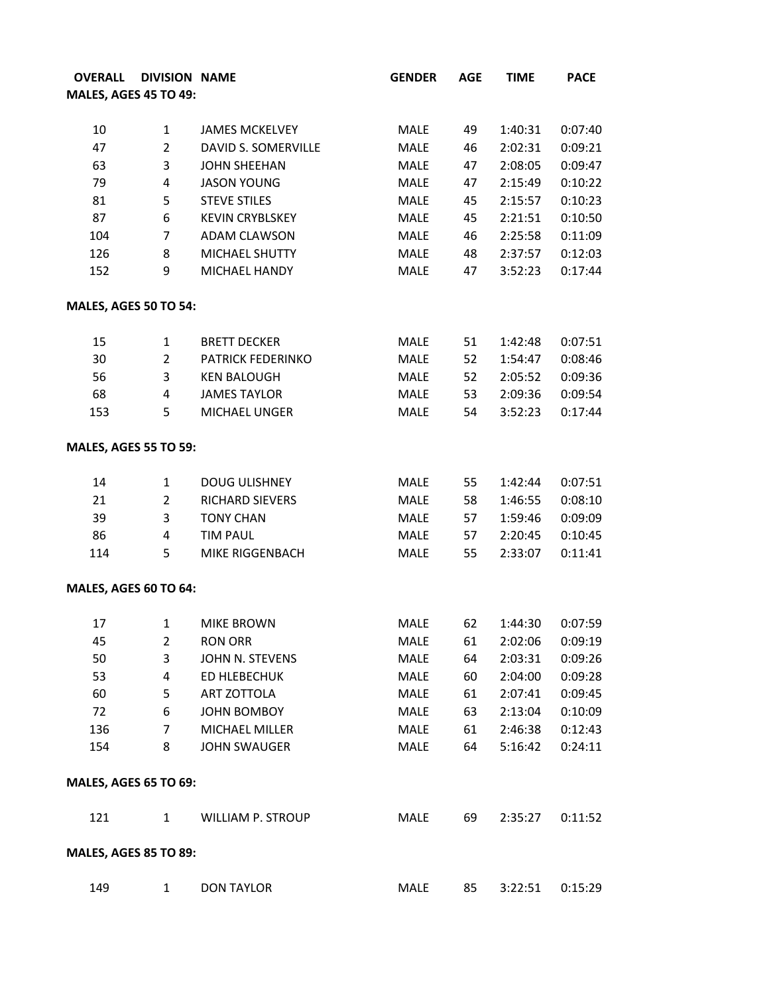| <b>OVERALL</b>               |                                | <b>DIVISION NAME</b>                         | <b>GENDER</b> | <b>AGE</b> | <b>TIME</b>        | PACE               |
|------------------------------|--------------------------------|----------------------------------------------|---------------|------------|--------------------|--------------------|
| <b>MALES, AGES 45 TO 49:</b> |                                |                                              |               |            |                    |                    |
|                              |                                |                                              |               |            |                    |                    |
| 10<br>47                     | $\mathbf{1}$<br>$\overline{2}$ | <b>JAMES MCKELVEY</b><br>DAVID S. SOMERVILLE | MALE<br>MALE  | 49<br>46   | 1:40:31<br>2:02:31 | 0:07:40<br>0:09:21 |
| 63                           | 3                              |                                              |               |            |                    | 0:09:47            |
|                              | $\overline{4}$                 | <b>JOHN SHEEHAN</b>                          | MALE          | 47         | 2:08:05            |                    |
| 79                           |                                | <b>JASON YOUNG</b>                           | MALE          | 47         | 2:15:49            | 0:10:22<br>0:10:23 |
| 81                           | 5                              | <b>STEVE STILES</b>                          | MALE          | 45         | 2:15:57            |                    |
| 87                           | 6                              | <b>KEVIN CRYBLSKEY</b>                       | MALE          | 45         | 2:21:51            | 0:10:50            |
| 104                          | $\overline{7}$                 | <b>ADAM CLAWSON</b>                          | MALE          | 46         | 2:25:58            | 0:11:09            |
| 126<br>152                   | 8<br>9                         | MICHAEL SHUTTY<br>MICHAEL HANDY              | MALE<br>MALE  | 48<br>47   | 2:37:57<br>3:52:23 | 0:12:03<br>0:17:44 |
| MALES, AGES 50 TO 54:        |                                |                                              |               |            |                    |                    |
| 15                           | 1                              | <b>BRETT DECKER</b>                          | MALE          | 51         | 1:42:48            | 0:07:51            |
| 30                           | $\overline{2}$                 | <b>PATRICK FEDERINKO</b>                     | MALE          | 52         | 1:54:47            | 0:08:46            |
| 56                           | 3                              | <b>KEN BALOUGH</b>                           | MALE          | 52         | 2:05:52            | 0:09:36            |
| 68                           | $\overline{4}$                 | <b>JAMES TAYLOR</b>                          | MALE          | 53         | 2:09:36            | 0:09:54            |
| 153                          | 5                              | MICHAEL UNGER                                | MALE          | 54         | 3:52:23            | 0:17:44            |
| <b>MALES, AGES 55 TO 59:</b> |                                |                                              |               |            |                    |                    |
| 14                           | $\mathbf{1}$                   | <b>DOUG ULISHNEY</b>                         | MALE          | 55         | 1:42:44            | 0:07:51            |
| 21                           | $\overline{2}$                 | RICHARD SIEVERS                              | MALE          | 58         | 1:46:55            | 0:08:10            |
| 39                           | 3                              | <b>TONY CHAN</b>                             | MALE          | 57         | 1:59:46            | 0:09:09            |
| 86                           | 4                              | <b>TIM PAUL</b>                              | MALE          | 57         | 2:20:45            | 0:10:45            |
| 114                          | 5                              | MIKE RIGGENBACH                              | MALE          | 55         | 2:33:07            | 0:11:41            |
| MALES, AGES 60 TO 64:        |                                |                                              |               |            |                    |                    |
| 17                           | 1                              | <b>MIKE BROWN</b>                            | <b>MALE</b>   | 62         | 1:44:30            | 0:07:59            |
| 45                           | $\overline{2}$                 | <b>RON ORR</b>                               | MALE          | 61         | 2:02:06            | 0:09:19            |
| 50                           | 3                              | JOHN N. STEVENS                              | MALE          | 64         | 2:03:31            | 0:09:26            |
| 53                           | 4                              | ED HLEBECHUK                                 | MALE          | 60         | 2:04:00            | 0:09:28            |
| 60                           | 5                              | ART ZOTTOLA                                  | MALE          | 61         | 2:07:41            | 0:09:45            |
| 72                           | 6                              | JOHN BOMBOY                                  | MALE          | 63         | 2:13:04            | 0:10:09            |
| 136                          | $\overline{7}$                 | <b>MICHAEL MILLER</b>                        | MALE          | 61         | 2:46:38            | 0:12:43            |
| 154                          | 8                              | <b>JOHN SWAUGER</b>                          | MALE          | 64         | 5:16:42            | 0:24:11            |
| <b>MALES, AGES 65 TO 69:</b> |                                |                                              |               |            |                    |                    |
| 121                          | $\mathbf{1}$                   | <b>WILLIAM P. STROUP</b>                     | MALE          | 69         | 2:35:27            | 0:11:52            |
| <b>MALES, AGES 85 TO 89:</b> |                                |                                              |               |            |                    |                    |
| 149                          | $\mathbf{1}$                   | <b>DON TAYLOR</b>                            | MALE          | 85         | 3:22:51            | 0:15:29            |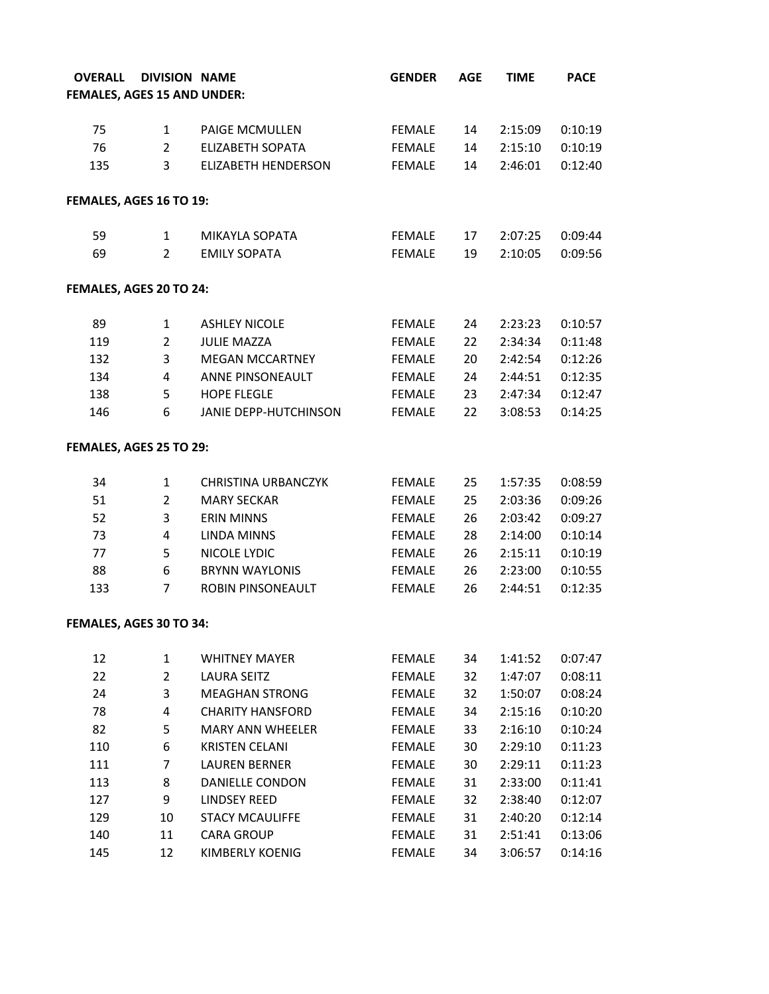| <b>OVERALL</b>                     |                | <b>DIVISION NAME</b>       | <b>GENDER</b> | <b>AGE</b> | <b>TIME</b> | <b>PACE</b> |
|------------------------------------|----------------|----------------------------|---------------|------------|-------------|-------------|
| <b>FEMALES, AGES 15 AND UNDER:</b> |                |                            |               |            |             |             |
| 75                                 | $\mathbf{1}$   | <b>PAIGE MCMULLEN</b>      | FEMALE        | 14         | 2:15:09     | 0:10:19     |
| 76                                 | $\overline{2}$ | <b>ELIZABETH SOPATA</b>    | FEMALE        | 14         | 2:15:10     | 0:10:19     |
| 135                                | $\overline{3}$ | <b>ELIZABETH HENDERSON</b> | FEMALE        | 14         | 2:46:01     | 0:12:40     |
|                                    |                |                            |               |            |             |             |
| FEMALES, AGES 16 TO 19:            |                |                            |               |            |             |             |
| 59                                 | $\mathbf{1}$   | MIKAYLA SOPATA             | FEMALE        | 17         | 2:07:25     | 0:09:44     |
| 69                                 | $\overline{2}$ | <b>EMILY SOPATA</b>        | <b>FEMALE</b> | 19         | 2:10:05     | 0:09:56     |
| FEMALES, AGES 20 TO 24:            |                |                            |               |            |             |             |
| 89                                 | $\mathbf{1}$   | <b>ASHLEY NICOLE</b>       | FEMALE        | 24         | 2:23:23     | 0:10:57     |
| 119                                | $\overline{2}$ | <b>JULIE MAZZA</b>         | FEMALE        | 22         | 2:34:34     | 0:11:48     |
| 132                                | 3              | <b>MEGAN MCCARTNEY</b>     | FEMALE        | 20         | 2:42:54     | 0:12:26     |
| 134                                | $\overline{4}$ | ANNE PINSONEAULT           | FEMALE        | 24         | 2:44:51     | 0:12:35     |
| 138                                | 5              | <b>HOPE FLEGLE</b>         | FEMALE        | 23         | 2:47:34     | 0:12:47     |
| 146                                | 6              | JANIE DEPP-HUTCHINSON      | FEMALE        | 22         | 3:08:53     | 0:14:25     |
| FEMALES, AGES 25 TO 29:            |                |                            |               |            |             |             |
| 34                                 | $\mathbf{1}$   | CHRISTINA URBANCZYK        | FEMALE        | 25         | 1:57:35     | 0:08:59     |
| 51                                 | $\overline{2}$ | <b>MARY SECKAR</b>         | FEMALE        | 25         | 2:03:36     | 0:09:26     |
| 52                                 | $\mathbf{3}$   | <b>ERIN MINNS</b>          | FEMALE        | 26         | 2:03:42     | 0:09:27     |
| 73                                 | $\overline{4}$ | <b>LINDA MINNS</b>         | FEMALE        | 28         | 2:14:00     | 0:10:14     |
| 77                                 | 5              | NICOLE LYDIC               | FEMALE        | 26         | 2:15:11     | 0:10:19     |
| 88                                 | 6              | <b>BRYNN WAYLONIS</b>      | FEMALE        | 26         | 2:23:00     | 0:10:55     |
| 133                                | $\overline{7}$ | ROBIN PINSONEAULT          | FEMALE        | 26         | 2:44:51     | 0:12:35     |
| FEMALES, AGES 30 TO 34:            |                |                            |               |            |             |             |
| 12                                 | 1              | <b>WHITNEY MAYER</b>       | <b>FEMALE</b> | 34         | 1:41:52     | 0:07:47     |
| 22                                 | $\overline{2}$ | LAURA SEITZ                | <b>FEMALE</b> | 32         | 1:47:07     | 0:08:11     |
| 24                                 | 3              | <b>MEAGHAN STRONG</b>      | <b>FEMALE</b> | 32         | 1:50:07     | 0:08:24     |
| 78                                 | 4              | <b>CHARITY HANSFORD</b>    | <b>FEMALE</b> | 34         | 2:15:16     | 0:10:20     |
| 82                                 | 5              | <b>MARY ANN WHEELER</b>    | <b>FEMALE</b> | 33         | 2:16:10     | 0:10:24     |
| 110                                | 6              | <b>KRISTEN CELANI</b>      | <b>FEMALE</b> | 30         | 2:29:10     | 0:11:23     |
| 111                                | 7              | <b>LAUREN BERNER</b>       | <b>FEMALE</b> | 30         | 2:29:11     | 0:11:23     |
| 113                                | 8              | <b>DANIELLE CONDON</b>     | <b>FEMALE</b> | 31         | 2:33:00     | 0:11:41     |
| 127                                | 9              | LINDSEY REED               | <b>FEMALE</b> | 32         | 2:38:40     | 0:12:07     |
| 129                                | 10             | <b>STACY MCAULIFFE</b>     | <b>FEMALE</b> | 31         | 2:40:20     | 0:12:14     |
| 140                                | 11             | <b>CARA GROUP</b>          | <b>FEMALE</b> | 31         | 2:51:41     | 0:13:06     |
| 145                                | 12             | <b>KIMBERLY KOENIG</b>     | <b>FEMALE</b> | 34         | 3:06:57     | 0:14:16     |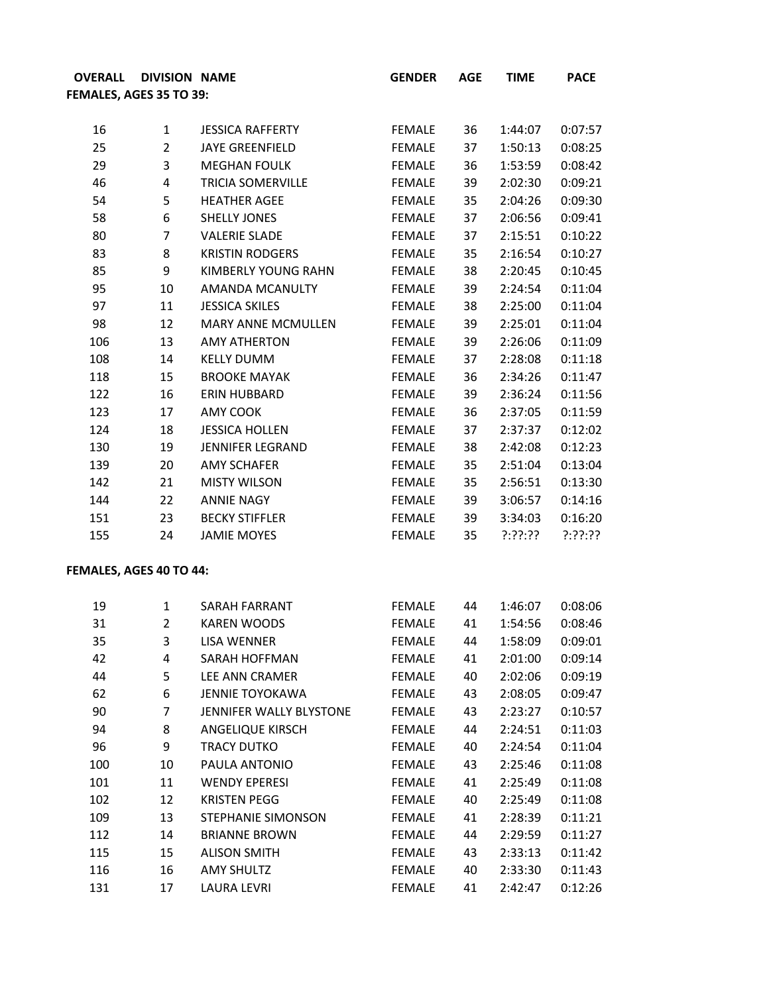| <b>OVERALL</b>          | <b>DIVISION NAME</b> |                            | <b>GENDER</b> | <b>AGE</b> | <b>TIME</b> | <b>PACE</b> |
|-------------------------|----------------------|----------------------------|---------------|------------|-------------|-------------|
| FEMALES, AGES 35 TO 39: |                      |                            |               |            |             |             |
|                         |                      |                            |               |            |             |             |
| 16                      | 1                    | <b>JESSICA RAFFERTY</b>    | <b>FEMALE</b> | 36         | 1:44:07     | 0:07:57     |
| 25                      | $\overline{2}$       | <b>JAYE GREENFIELD</b>     | <b>FEMALE</b> | 37         | 1:50:13     | 0:08:25     |
| 29                      | 3                    | <b>MEGHAN FOULK</b>        | <b>FEMALE</b> | 36         | 1:53:59     | 0:08:42     |
| 46                      | 4                    | <b>TRICIA SOMERVILLE</b>   | <b>FEMALE</b> | 39         | 2:02:30     | 0:09:21     |
| 54                      | 5                    | <b>HEATHER AGEE</b>        | <b>FEMALE</b> | 35         | 2:04:26     | 0:09:30     |
| 58                      | 6                    | <b>SHELLY JONES</b>        | <b>FEMALE</b> | 37         | 2:06:56     | 0:09:41     |
| 80                      | $\overline{7}$       | <b>VALERIE SLADE</b>       | <b>FEMALE</b> | 37         | 2:15:51     | 0:10:22     |
| 83                      | 8                    | <b>KRISTIN RODGERS</b>     | <b>FEMALE</b> | 35         | 2:16:54     | 0:10:27     |
| 85                      | 9                    | <b>KIMBERLY YOUNG RAHN</b> | <b>FEMALE</b> | 38         | 2:20:45     | 0:10:45     |
| 95                      | 10                   | AMANDA MCANULTY            | <b>FEMALE</b> | 39         | 2:24:54     | 0:11:04     |
| 97                      | 11                   | <b>JESSICA SKILES</b>      | <b>FEMALE</b> | 38         | 2:25:00     | 0:11:04     |
| 98                      | 12                   | <b>MARY ANNE MCMULLEN</b>  | <b>FEMALE</b> | 39         | 2:25:01     | 0:11:04     |
| 106                     | 13                   | <b>AMY ATHERTON</b>        | <b>FEMALE</b> | 39         | 2:26:06     | 0:11:09     |
| 108                     | 14                   | <b>KELLY DUMM</b>          | <b>FEMALE</b> | 37         | 2:28:08     | 0:11:18     |
| 118                     | 15                   | <b>BROOKE MAYAK</b>        | <b>FEMALE</b> | 36         | 2:34:26     | 0:11:47     |
| 122                     | 16                   | ERIN HUBBARD               | <b>FEMALE</b> | 39         | 2:36:24     | 0:11:56     |
| 123                     | 17                   | AMY COOK                   | <b>FEMALE</b> | 36         | 2:37:05     | 0:11:59     |
| 124                     | 18                   | <b>JESSICA HOLLEN</b>      | <b>FEMALE</b> | 37         | 2:37:37     | 0:12:02     |
| 130                     | 19                   | <b>JENNIFER LEGRAND</b>    | <b>FEMALE</b> | 38         | 2:42:08     | 0:12:23     |
| 139                     | 20                   | <b>AMY SCHAFER</b>         | <b>FEMALE</b> | 35         | 2:51:04     | 0:13:04     |
| 142                     | 21                   | <b>MISTY WILSON</b>        | <b>FEMALE</b> | 35         | 2:56:51     | 0:13:30     |
| 144                     | 22                   | <b>ANNIE NAGY</b>          | <b>FEMALE</b> | 39         | 3:06:57     | 0:14:16     |
| 151                     | 23                   | <b>BECKY STIFFLER</b>      | <b>FEMALE</b> | 39         | 3:34:03     | 0:16:20     |
| 155                     | 24                   | <b>JAMIE MOYES</b>         | <b>FEMALE</b> | 35         | ?:??:??     | ?:??:??     |
|                         |                      |                            |               |            |             |             |

## **FEMALES, AGES 40 TO 44:**

| 19  | $\mathbf{1}$   | SARAH FARRANT           | <b>FEMALE</b> | 44 | 1:46:07 | 0:08:06 |
|-----|----------------|-------------------------|---------------|----|---------|---------|
| 31  | $\overline{2}$ | KAREN WOODS             | <b>FEMALE</b> | 41 | 1:54:56 | 0:08:46 |
| 35  | 3              | LISA WENNER             | <b>FEMALE</b> | 44 | 1:58:09 | 0:09:01 |
| 42  | 4              | SARAH HOFFMAN           | <b>FEMALE</b> | 41 | 2:01:00 | 0:09:14 |
| 44  | 5              | <b>LEE ANN CRAMER</b>   | <b>FEMALE</b> | 40 | 2:02:06 | 0:09:19 |
| 62  | 6              | JENNIE TOYOKAWA         | <b>FEMALE</b> | 43 | 2:08:05 | 0:09:47 |
| 90  | 7              | JENNIFER WALLY BLYSTONE | <b>FEMALE</b> | 43 | 2:23:27 | 0:10:57 |
| 94  | 8              | <b>ANGELIQUE KIRSCH</b> | <b>FEMALE</b> | 44 | 2:24:51 | 0:11:03 |
| 96  | 9              | TRACY DUTKO             | <b>FEMALE</b> | 40 | 2:24:54 | 0:11:04 |
| 100 | 10             | PAULA ANTONIO           | <b>FEMALE</b> | 43 | 2:25:46 | 0:11:08 |
| 101 | 11             | <b>WENDY EPERESI</b>    | <b>FEMALE</b> | 41 | 2:25:49 | 0:11:08 |
| 102 | 12             | <b>KRISTEN PEGG</b>     | <b>FEMALE</b> | 40 | 2:25:49 | 0:11:08 |
| 109 | 13             | STEPHANIE SIMONSON      | <b>FEMALE</b> | 41 | 2:28:39 | 0:11:21 |
| 112 | 14             | <b>BRIANNE BROWN</b>    | <b>FEMALE</b> | 44 | 2:29:59 | 0:11:27 |
| 115 | 15             | <b>ALISON SMITH</b>     | <b>FEMALE</b> | 43 | 2:33:13 | 0:11:42 |
| 116 | 16             | <b>AMY SHULTZ</b>       | <b>FEMALE</b> | 40 | 2:33:30 | 0:11:43 |
| 131 | 17             | LAURA LEVRI             | <b>FEMALE</b> | 41 | 2:42:47 | 0:12:26 |
|     |                |                         |               |    |         |         |